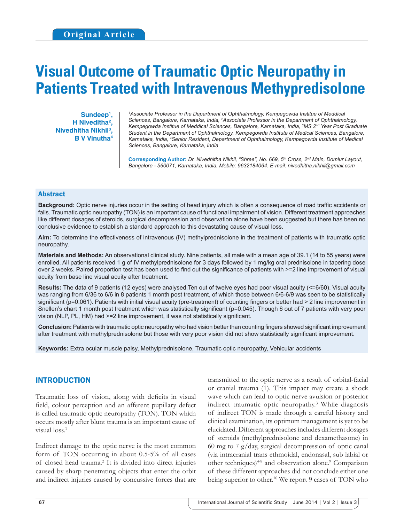# **Visual Outcome of Traumatic Optic Neuropathy in Patients Treated with Intravenous Methypredisolone**

**Sundeep1 , H Niveditha2 , Nivedhitha Nikhil3 , B V Vinutha4** <sup>1</sup>Associate Professor in the Department of Ophthalmology, Kempegowda Institue of Meddical *Sciences, Bangalore, Karnataka, India, 2 Associate Professor in the Department of Ophthalmology, Kempegowda Institue of Meddical Sciences, Bangalore, Karnataka, India, 3 MS 2nd Year Post Graduate Student in the Department of Ophthalmology, Kempegowda Institute of Medical Sciences, Bangalore, Karnataka, India, 4 Senior Resident, Department of Ophthalmology, Kempegowda Institute of Medical Sciences, Bangalore, Karnataka, India*

**Corresponding Author:** *Dr. Nivedhitha Nikhil, "Shree", No. 669, 5th Cross, 2nd Main, Domlur Layout, Bangalore - 560071, Karnataka, India. Mobile: 9632184064. E-mail: nivedhitha.nikhil@gmail.com*

#### Abstract

**Background:** Optic nerve injuries occur in the setting of head injury which is often a consequence of road traffic accidents or falls. Traumatic optic neuropathy (TON) is an important cause of functional impairment of vision. Different treatment approaches like different dosages of steroids, surgical decompression and observation alone have been suggested but there has been no conclusive evidence to establish a standard approach to this devastating cause of visual loss.

**Aim:** To determine the effectiveness of intravenous (IV) methylprednisolone in the treatment of patients with traumatic optic neuropathy.

**Materials and Methods:** An observational clinical study. Nine patients, all male with a mean age of 39.1 (14 to 55 years) were enrolled. All patients received 1 g of IV methylprednisolone for 3 days followed by 1 mg/kg oral prednisolone in tapering dose over 2 weeks. Paired proportion test has been used to find out the significance of patients with >=2 line improvement of visual acuity from base line visual acuity after treatment.

**Results:** The data of 9 patients (12 eyes) were analysed.Ten out of twelve eyes had poor visual acuity (<=6/60). Visual acuity was ranging from 6/36 to 6/6 in 8 patients 1 month post treatment, of which those between 6/6-6/9 was seen to be statistically significant (p=0.061). Patients with initial visual acuity (pre-treatment) of counting fingers or better had > 2 line improvement in Snellen's chart 1 month post treatment which was statistically significant (p=0.045). Though 6 out of 7 patients with very poor vision (NLP, PL, HM) had >=2 line improvement, it was not statistically significant.

**Conclusion:** Patients with traumatic optic neuropathy who had vision better than counting fingers showed significant improvement after treatment with methylprednisolone but those with very poor vision did not show statistically significant improvement.

**Keywords:** Extra ocular muscle palsy, Methylprednisolone, Traumatic optic neuropathy, Vehicular accidents

## INTRODUCTION

Traumatic loss of vision, along with deficits in visual field, colour perception and an afferent pupillary defect is called traumatic optic neuropathy (TON). TON which occurs mostly after blunt trauma is an important cause of visual loss.<sup>1</sup>

Indirect damage to the optic nerve is the most common form of TON occurring in about 0.5-5% of all cases of closed head trauma.2 It is divided into direct injuries caused by sharp penetrating objects that enter the orbit and indirect injuries caused by concussive forces that are

transmitted to the optic nerve as a result of orbital-facial or cranial trauma (1). This impact may create a shock wave which can lead to optic nerve avulsion or posterior indirect traumatic optic neuropathy.3 While diagnosis of indirect TON is made through a careful history and clinical examination, its optimum management is yet to be elucidated. Different approaches includes different dosages of steroids (methylprednisolone and dexamethasone) in 60 mg to 7 g/day, surgical decompression of optic canal (via intracranial trans ethmoidal, endonasal, sub labial or other techniques)<sup>48</sup> and observation alone.<sup>9</sup> Comparison of these different approaches did not conclude either one being superior to other.<sup>10</sup> We report 9 cases of TON who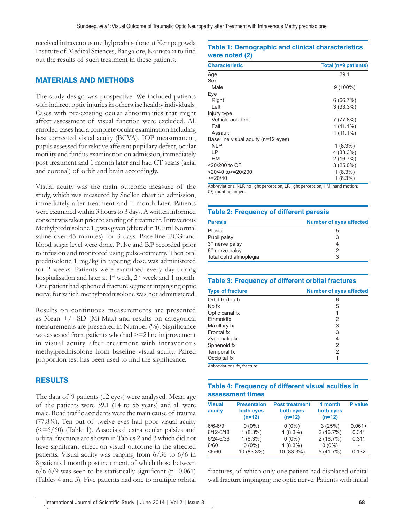received intravenous methylprednisolone at Kempegowda Institute of Medical Sciences, Bangalore, Karnataka to find out the results of such treatment in these patients.

#### MATERIALS AND METHODS

The study design was prospective. We included patients with indirect optic injuries in otherwise healthy individuals. Cases with pre-existing ocular abnormalities that might affect assessment of visual function were excluded. All enrolled cases had a complete ocular examination including best corrected visual acuity (BCVA), IOP measurement, pupils assessed for relative afferent pupillary defect, ocular motility and fundus examination on admission, immediately post treatment and 1 month later and had CT scans (axial and coronal) of orbit and brain accordingly.

Visual acuity was the main outcome measure of the study, which was measured by Snellen chart on admission, immediately after treatment and 1 month later. Patients were examined within 3 hours to 3 days. Awritten informed consent was taken prior to starting of treatment. Intravenous Methylprednisolone 1 g was given (diluted in 100 ml Normal saline over 45 minutes) for 3 days. Base-line ECG and blood sugar level were done. Pulse and B.P recorded prior to infusion and monitored using pulse-oximetry. Then oral prednisolone 1 mg/kg in tapering dose was administered for 2 weeks. Patients were examined every day during hospitalisation and later at 1<sup>st</sup> week, 2<sup>nd</sup> week and 1 month. One patient had sphenoid fracture segment impinging optic nerve for which methylprednisolone was not administered.

Results on continuous measurements are presented as Mean  $+/-$  SD (Mi-Max) and results on categorical measurements are presented in Number (%). Significance was assessed from patients who had >=2 line improvement in visual acuity after treatment with intravenous methylprednisolone from baseline visual acuity. Paired proportion test has been used to find the significance.

### RESULTS

The data of 9 patients (12 eyes) were analysed. Mean age of the patients were 39.1 (14 to 55 years) and all were male. Road traffic accidents were the main cause of trauma (77.8%). Ten out of twelve eyes had poor visual acuity  $\approx$  =6/60) (Table 1). Associated extra ocular palsies and orbital fractures are shown in Tables 2 and 3 which did not have significant effect on visual outcome in the affected patients. Visual acuity was ranging from 6/36 to 6/6 in 8 patients 1 month post treatment, of which those between  $6/6-6/9$  was seen to be statistically significant (p=0.061) (Tables 4 and 5). Five patients had one to multiple orbital

### **Table 1: Demographic and clinical characteristics were noted (2)**

| <b>Characteristic</b>               | Total (n=9 patients) |  |
|-------------------------------------|----------------------|--|
| Age                                 | 39.1                 |  |
| Sex                                 |                      |  |
| Male                                | $9(100\%)$           |  |
| Eye                                 |                      |  |
| Right                               | 6(66.7%)             |  |
| Left                                | $3(33.3\%)$          |  |
| Injury type                         |                      |  |
| Vehicle accident                    | 7 (77.8%)            |  |
| Fall                                | $1(11.1\%)$          |  |
| Assault                             | $1(11.1\%)$          |  |
| Base line visual acuity (n=12 eyes) |                      |  |
| NI P                                | $1(8.3\%)$           |  |
| ΙP                                  | $4(33.3\%)$          |  |
| <b>HM</b>                           | 2(16.7%)             |  |
| <20/200 to CF                       | $3(25.0\%)$          |  |
| <20/40 to>=20/200                   | $1(8.3\%)$           |  |
| $>=20/40$                           | $1(8.3\%)$           |  |

Abbreviations: NLP, no light perception; LP, light perception; HM, hand motion; CF, counting fingers

#### **Table 2: Frequency of different paresis**

| <b>Paresis</b>              | <b>Number of eyes affected</b> |
|-----------------------------|--------------------------------|
| Ptosis                      | 5                              |
| Pupil palsy                 | 3                              |
| 3rd nerve palsy             | 4                              |
| 6 <sup>th</sup> nerve palsy | 2                              |
| Total ophthalmoplegia       | 3                              |

| <b>Table 3: Frequency of different orbital fractures</b> |                                |  |  |
|----------------------------------------------------------|--------------------------------|--|--|
| <b>Type of fracture</b>                                  | <b>Number of eyes affected</b> |  |  |
| Orbit fx (total)                                         | 6                              |  |  |
| No fx                                                    | 5                              |  |  |
| Optic canal fx                                           |                                |  |  |
| Ethmoidfx                                                | 2                              |  |  |
| Maxillary fx                                             | 3                              |  |  |
| Frontal fx                                               | 3                              |  |  |
| Zygomatic fx                                             | 4                              |  |  |
| Sphenoid fx                                              | 2                              |  |  |
| Temporal fx                                              | 2                              |  |  |
| Occipital fx                                             |                                |  |  |
| Abbreviations: fx, fracture                              |                                |  |  |

#### **Table 4: Frequency of different visual acuities in assessment times**

| <b>Visual</b><br>acuity | <b>Presentaion</b><br>both eyes<br>$(n=12)$ | <b>Post treatment</b><br>both eyes<br>$(n=12)$ | 1 month<br>both eyes<br>$(n=12)$ | P value   |
|-------------------------|---------------------------------------------|------------------------------------------------|----------------------------------|-----------|
| $6/6 - 6/9$             | $0(0\%)$                                    | $0(0\%)$                                       | 3(25%)                           | $0.061 +$ |
| $6/12 - 6/18$           | $1(8.3\%)$                                  | $1(8.3\%)$                                     | 2(16.7%)                         | 0.311     |
| 6/24-6/36               | $1(8.3\%)$                                  | $0(0\%)$                                       | 2(16.7%)                         | 0.311     |
| 6/60                    | $0(0\%)$                                    | $1(8.3\%)$                                     | $0(0\%)$                         |           |
| < 6/60                  | 10 (83.3%)                                  | 10 (83.3%)                                     | 5(41.7%)                         | 0.132     |

fractures, of which only one patient had displaced orbital wall fracture impinging the optic nerve. Patients with initial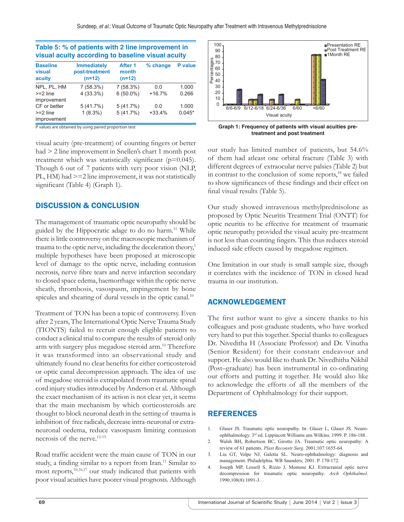| Table 5: % of patients with 2 line improvement in<br>visual acuity according to baseline visual acuity |                                                  |                              |          |                |  |  |
|--------------------------------------------------------------------------------------------------------|--------------------------------------------------|------------------------------|----------|----------------|--|--|
| <b>Baseline</b><br>visual<br>acuity                                                                    | <b>Immediately</b><br>post-treatment<br>$(n=12)$ | After 1<br>month<br>$(n=12)$ | % change | <b>P</b> value |  |  |
| NPL. PL. HM                                                                                            | 7 (58.3%)                                        | 7(58.3%)                     | 0.0      | 1.000          |  |  |
| $>=2$ line                                                                                             | 4 (33.3%)                                        | $6(50.0\%)$                  | $+16.7%$ | 0.266          |  |  |
| improvement                                                                                            |                                                  |                              |          |                |  |  |
| CF or better                                                                                           | 5(41.7%)                                         | 5(41.7%)                     | 0.0      | 1.000          |  |  |
| $>=2$ line<br>improvement                                                                              | $1(8.3\%)$                                       | 5(41.7%)                     | $+33.4%$ | $0.045*$       |  |  |

**Table 5: % of patients with 2 line improvement in** 

P values are obtained by using paired proportion test

visual acuity (pre-treatment) of counting fingers or better had > 2 line improvement in Snellen's chart 1 month post treatment which was statistically significant (p=0.045). Though 6 out of 7 patients with very poor vision (NLP, PL, HM) had >=2 line improvement, it was not statistically significant (Table 4) (Graph 1).

## DISCUSSION & CONCLUSION

The management of traumatic optic neuropathy should be guided by the Hippocratic adage to do no harm.<sup>11</sup> While there is little controversy on the macroscopic mechanism of trauma to the optic nerve, including the deceleration theory,<sup>1</sup> multiple hypotheses have been proposed at microscopic level of damage to the optic nerve, including contusion necrosis, nerve fibre tears and nerve infarction secondary to closed space edema, haemorrhage within the optic nerve sheath, thrombosis, vasospasm, impingement by bone spicules and shearing of dural vessels in the optic canal.<sup>10</sup>

Treatment of TON has been a topic of controversy. Even after 2 years, The International Optic Nerve Trauma Study (TIONTS) failed to recruit enough eligible patients to conduct a clinical trial to compare the results of steroid only arm with surgery plus megadose steroid arm.10 Therefore it was transformed into an observational study and ultimately found no clear benefits for either corticosteroid or optic canal decompression approach. The idea of use of megadose steroid is extrapolated from traumatic spinal cord injury studies introduced by Anderson et al. Although the exact mechanism of its action is not clear yet, it seems that the main mechanism by which corticosteroids are thought to block neuronal death in the setting of trauma is inhibition of free radicals, decrease intra-neuronal or extraneuronal oedema, reduce vasospasm limiting contusion necrosis of the nerve.12-15

Road traffic accident were the main cause of TON in our study, a finding similar to a report from Iran.<sup>11</sup> Similar to most reports,<sup>10,16,17</sup> our study indicated that patients with poor visual acuities have poorer visual prognosis. Although



**Graph 1: Frequency of patients with visual acuities pretreatment and post treatment**

our study has limited number of patients, but 54.6% of them had atleast one orbital fracture (Table 3) with different degrees of extraocular nerve palsies (Table 2) but in contrast to the conclusion of some reports, $18$  we failed to show significances of these findings and their effect on final visual results (Table 5).

Our study showed intravenous methylprednisolone as proposed by Optic Neuritis Treatment Trial (ONTT) for optic neuritis to be effective for treatment of traumatic optic neuropathy provided the visual acuity pre-treatment is not less than counting fingers. This thus reduces steroid induced side effects caused by megadose regimen.

One limitation in our study is small sample size, though it correlates with the incidence of TON in closed head trauma in our institution.

### ACKNOWLEDGEMENT

The first author want to give a sincere thanks to his colleagues and post-graduate students, who have worked very hard to put this together. Special thanks to colleagues Dr. Niveditha H (Associate Professor) and Dr. Vinutha (Senior Resident) for their constant endeavour and support. He also would like to thank Dr. Nivedhitha Nikhil (Post–graduate) has been instrumental in co-ordinating our efforts and putting it together. He would also like to acknowledge the efforts of all the members of the Department of Ophthalmology for their support.

### REFERENCES

- 1. Glaser JS. Traumatic optic neuropathy. In: Glaser L, Glaser JS. Neuroophthalmology. 3rd ed. Lippincott Williams ans Wilkins. 1999. P. 186-188.
- 2. Walsh BH, Robertson BC, Girotto JA. Traumatic optic neuropathy: A review of 61 patients. *Plast Reconstr Surg*. 2001;107:1655-64.
- 3. Liu GT, Volpe NJ, Galetta SL. Neuro-ophthalmology: diagnosis and management. Philadelphia: WB Saunders; 2001. P. 170-172.
- 4. Joseph MP, Lessell S, Rizzo J, Momose KJ. Extracranial optic nerve decompression for traumatic optic neuropathy. *Arch Ophthalmol*. 1990;108(8):1091-3.